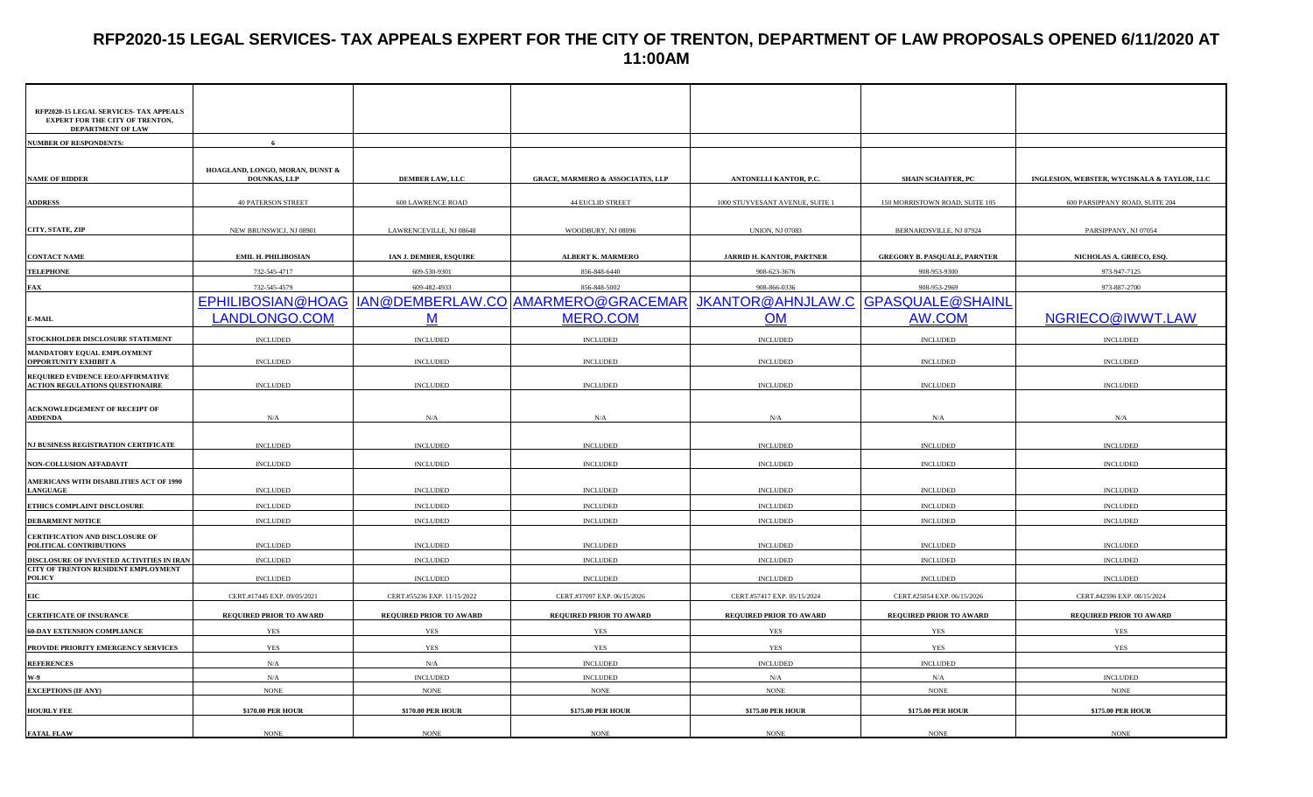# **RFP2020-15 LEGAL SERVICES- TAX APPEALS EXPERT FOR THE CITY OF TRENTON, DEPARTMENT OF LAW PROPOSALS OPENED 6/11/2020 AT 11:00AM**

| RFP2020-15 LEGAL SERVICES- TAX APPEALS<br><b>EXPERT FOR THE CITY OF TRENTON,</b><br>DEPARTMENT OF LAW |                                                        |                             |                                             |                                  |                                     |                                             |
|-------------------------------------------------------------------------------------------------------|--------------------------------------------------------|-----------------------------|---------------------------------------------|----------------------------------|-------------------------------------|---------------------------------------------|
| <b>NUMBER OF RESPONDENTS:</b>                                                                         | 6                                                      |                             |                                             |                                  |                                     |                                             |
|                                                                                                       |                                                        |                             |                                             |                                  |                                     |                                             |
| <b>NAME OF BIDDER</b>                                                                                 | HOAGLAND, LONGO, MORAN, DUNST &<br><b>DOUNKAS, LLP</b> | <b>DEMBER LAW, LLC</b>      | <b>GRACE, MARMERO &amp; ASSOCIATES, LLP</b> | ANTONELLI KANTOR, P.C.           | <b>SHAIN SCHAFFER, PC</b>           | INGLESION, WEBSTER, WYCISKALA & TAYLOR, LLC |
| <b>ADDRESS</b>                                                                                        | <b>40 PATERSON STREET</b>                              | <b>600 LAWRENCE ROAD</b>    | <b>44 EUCLID STREET</b>                     | 1000 STUYVESANT AVENUE, SUITE 1  | 150 MORRISTOWN ROAD, SUITE 105      | 600 PARSIPPANY ROAD, SUITE 204              |
|                                                                                                       |                                                        |                             |                                             |                                  |                                     |                                             |
| CITY, STATE, ZIP                                                                                      | NEW BRUNSWICJ, NJ 08901                                | LAWRENCEVILLE, NJ 08648     | WOODBURY, NJ 08096                          | <b>UNION, NJ 07083</b>           | BERNARDSVILLE, NJ 07924             | PARSIPPANY, NJ 07054                        |
|                                                                                                       |                                                        |                             |                                             |                                  |                                     |                                             |
| <b>CONTACT NAME</b>                                                                                   | <b>EMIL H. PHILIBOSIAN</b>                             | IAN J. DEMBER, ESQUIRE      | <b>ALBERT K. MARMERO</b>                    | <b>JARRID H. KANTOR, PARTNER</b> | <b>GREGORY B. PASQUALE, PARNTER</b> | NICHOLAS A. GRIECO, ESQ                     |
| <b>TELEPHONE</b>                                                                                      | 732-545-4717                                           | 609-530-9301                | 856-848-6440                                | 908-623-3676                     | 908-953-9300                        | 973-947-7125                                |
| <b>FAX</b>                                                                                            | 732-545-4579                                           | 609-482-4933                | 856-848-5002                                | 908-866-0336                     | 908-953-2969                        | 973-887-2700                                |
|                                                                                                       | EPHILIBOSIAN@HOAG                                      |                             | IAN@DEMBERLAW.CO AMARMERO@GRACEMAR          | JKANTOR@AHNJLAW.C                | <b>GPASQUALE@SHAINL</b>             |                                             |
| E-MAIL                                                                                                | LANDLONGO.COM                                          | M                           | MERO.COM                                    | <b>OM</b>                        | AW.COM                              | NGRIECO@IWWT.LAW                            |
| STOCKHOLDER DISCLOSURE STATEMENT                                                                      | <b>INCLUDED</b>                                        | <b>INCLUDED</b>             | $\sf INCLUDED$                              | $\sf INCLUDED$                   | <b>INCLUDED</b>                     | $\sf INCLUDED$                              |
| MANDATORY EQUAL EMPLOYMENT                                                                            |                                                        |                             |                                             |                                  |                                     |                                             |
| OPPORTUNITY EXHIBIT A                                                                                 | <b>INCLUDED</b>                                        | <b>INCLUDED</b>             | <b>INCLUDED</b>                             | <b>INCLUDED</b>                  | <b>INCLUDED</b>                     | $\sf INCLUDED$                              |
| REQUIRED EVIDENCE EEO/AFFIRMATIVE<br><b>ACTION REGULATIONS QUESTIONAIRE</b>                           | <b>INCLUDED</b>                                        | <b>INCLUDED</b>             | <b>INCLUDED</b>                             | <b>INCLUDED</b>                  | <b>INCLUDED</b>                     | <b>INCLUDED</b>                             |
|                                                                                                       |                                                        |                             |                                             |                                  |                                     |                                             |
| ACKNOWLEDGEMENT OF RECEIPT OF<br><b>ADDENDA</b>                                                       | N/A                                                    | N/A                         | N/A                                         | N/A                              | N/A                                 | N/A                                         |
|                                                                                                       |                                                        |                             |                                             |                                  |                                     |                                             |
| NJ BUSINESS REGISTRATION CERTIFICATE                                                                  | <b>INCLUDED</b>                                        | <b>INCLUDED</b>             | <b>INCLUDED</b>                             | <b>INCLUDED</b>                  | <b>INCLUDED</b>                     | <b>INCLUDED</b>                             |
| NON-COLLUSION AFFADAVIT                                                                               | $\sf INCLUDED$                                         | <b>INCLUDED</b>             | <b>INCLUDED</b>                             | <b>INCLUDED</b>                  | <b>INCLUDED</b>                     | <b>INCLUDED</b>                             |
| AMERICANS WITH DISABILITIES ACT OF 1990                                                               |                                                        |                             |                                             |                                  |                                     |                                             |
| <b>LANGUAGE</b>                                                                                       | <b>INCLUDED</b>                                        | <b>INCLUDED</b>             | <b>INCLUDED</b>                             | $\sf INCLUDED$                   | <b>INCLUDED</b>                     | <b>INCLUDED</b>                             |
| ETHICS COMPLAINT DISCLOSURE                                                                           | <b>INCLUDED</b>                                        | <b>INCLUDED</b>             | <b>INCLUDED</b>                             | <b>INCLUDED</b>                  | <b>INCLUDED</b>                     | <b>INCLUDED</b>                             |
| <b>DEBARMENT NOTICE</b>                                                                               | <b>INCLUDED</b>                                        | <b>INCLUDED</b>             | <b>INCLUDED</b>                             | <b>INCLUDED</b>                  | <b>INCLUDED</b>                     | <b>INCLUDED</b>                             |
| CERTIFICATION AND DISCLOSURE OF<br>POLITICAL CONTRIBUTIONS                                            | <b>INCLUDED</b>                                        | <b>INCLUDED</b>             | <b>INCLUDED</b>                             | <b>INCLUDED</b>                  | <b>INCLUDED</b>                     | $\sf INCLUDED$                              |
| DISCLOSURE OF INVESTED ACTIVITIES IN IRAN                                                             | <b>INCLUDED</b>                                        | <b>INCLUDED</b>             | <b>INCLUDED</b>                             | <b>INCLUDED</b>                  | <b>INCLUDED</b>                     | <b>INCLUDED</b>                             |
| <b>CITY OF TRENTON RESIDENT EMPLOYMENT</b><br><b>POLICY</b>                                           | <b>INCLUDED</b>                                        | <b>INCLUDED</b>             | <b>INCLUDED</b>                             | <b>INCLUDED</b>                  | <b>INCLUDED</b>                     | <b>INCLUDED</b>                             |
| EIC                                                                                                   | CERT.#17445 EXP. 09/05/2021                            | CERT.#55236 EXP. 11/15/2022 | CERT.#37097 EXP. 06/15/2026                 | CERT.#57417 EXP. 05/15/2024      | CERT.#25054 EXP. 06/15/2026         | CERT.#42596 EXP. 08/15/2024                 |
| <b>CERTIFICATE OF INSURANCE</b>                                                                       | REQUIRED PRIOR TO AWARD                                | REQUIRED PRIOR TO AWARD     | REQUIRED PRIOR TO AWARD                     | REQUIRED PRIOR TO AWARD          | REQUIRED PRIOR TO AWARD             | REQUIRED PRIOR TO AWARD                     |
| <b>60-DAY EXTENSION COMPLIANCE</b>                                                                    | <b>YES</b>                                             | <b>YES</b>                  | <b>YES</b>                                  | <b>YES</b>                       | <b>YES</b>                          | YES                                         |
| PROVIDE PRIORITY EMERGENCY SERVICES                                                                   | <b>YES</b>                                             | <b>YES</b>                  | YES                                         | YES                              | <b>YES</b>                          | YES                                         |
| <b>REFERENCES</b>                                                                                     | N/A                                                    | N/A                         | <b>INCLUDED</b>                             | <b>INCLUDED</b>                  | <b>INCLUDED</b>                     |                                             |
| W-9                                                                                                   | N/A                                                    | <b>INCLUDED</b>             | <b>INCLUDED</b>                             | N/A                              | N/A                                 | <b>INCLUDED</b>                             |
| <b>EXCEPTIONS (IF ANY)</b>                                                                            | <b>NONE</b>                                            | <b>NONE</b>                 | <b>NONE</b>                                 | <b>NONE</b>                      | <b>NONE</b>                         | <b>NONE</b>                                 |
| <b>HOURLY FEE</b>                                                                                     | \$170.00 PER HOUR                                      | \$170.00 PER HOUR           | \$175.00 PER HOUR                           | \$175.00 PER HOUR                | <b>\$175.00 PER HOUR</b>            | \$175.00 PER HOUR                           |
| <b>FATAL FLAW</b>                                                                                     | <b>NONE</b>                                            | <b>NONE</b>                 | <b>NONE</b>                                 | <b>NONE</b>                      | <b>NONE</b>                         | <b>NONE</b>                                 |
|                                                                                                       |                                                        |                             |                                             |                                  |                                     |                                             |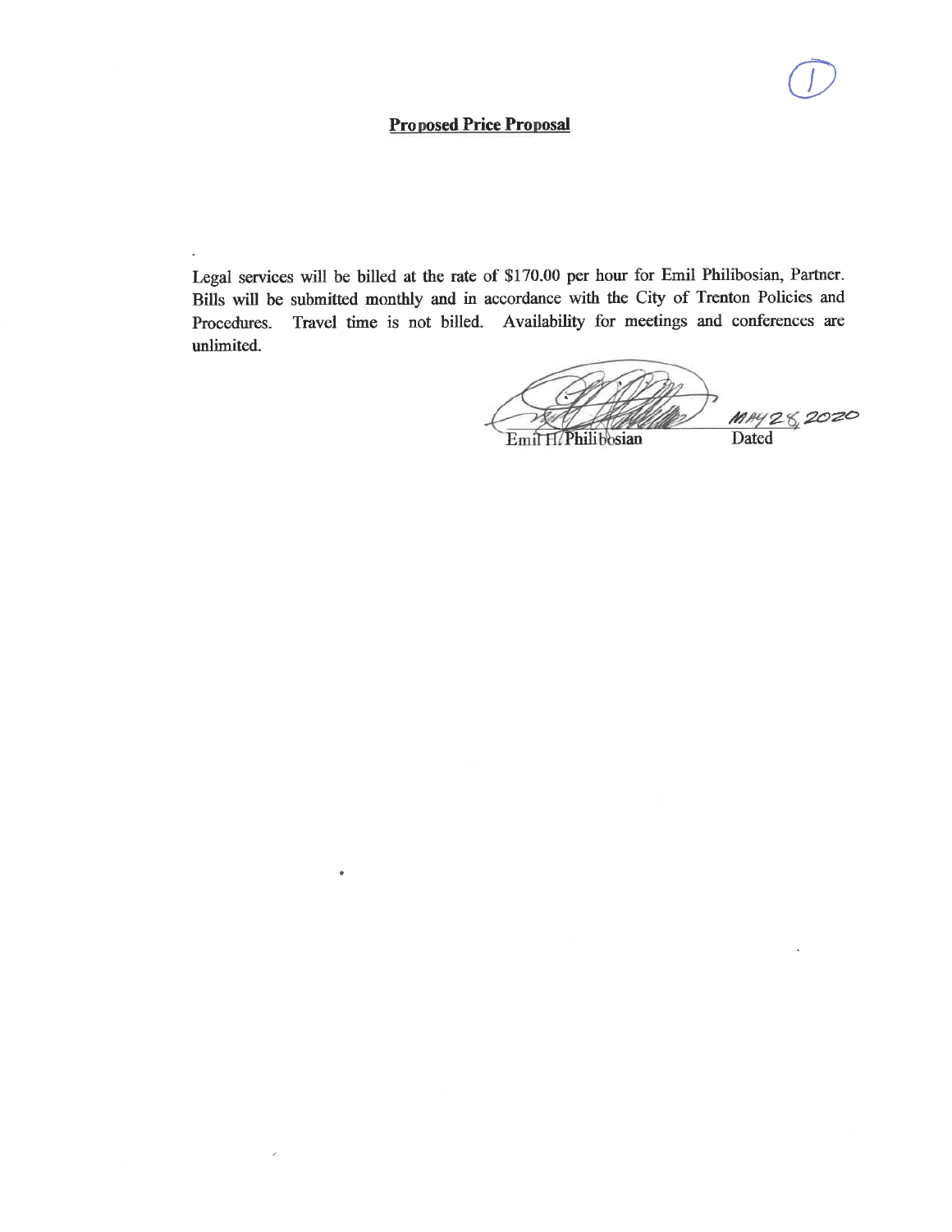## **Proposed Price Proposal**

 $\bullet$ 

 $\lambda$ 

Legal services will be billed at the rate of \$170.00 per hour for Emil Philibosian, Partner. Bills will be submitted monthly and in accordance with the City of Trenton Policies and Travel time is not billed. Availability for meetings and conferences are Procedures. unlimited.

MAY 28, 2020 Emil H. Philibosian **Dated**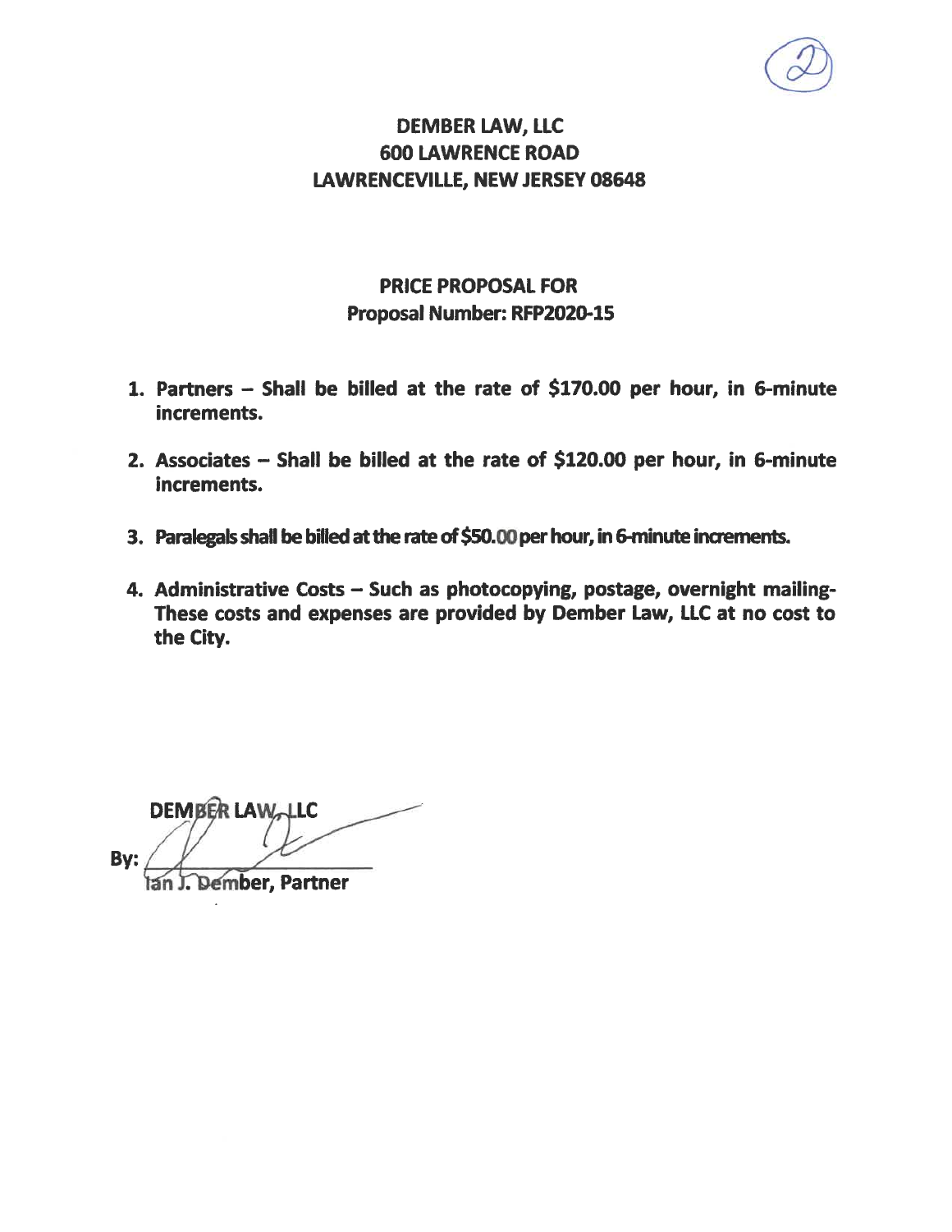# **DEMBER LAW, LLC 600 LAWRENCE ROAD LAWRENCEVILLE, NEW JERSEY 08648**

# **PRICE PROPOSAL FOR** Proposal Number: RFP2020-15

- 1. Partners Shall be billed at the rate of \$170.00 per hour, in 6-minute increments.
- 2. Associates Shall be billed at the rate of \$120.00 per hour, in 6-minute increments.
- 3. Paralegals shall be billed at the rate of \$50.00 per hour, in 6-minute increments.
- 4. Administrative Costs Such as photocopying, postage, overnight mailing-These costs and expenses are provided by Dember Law, LLC at no cost to the City.

**DEMBER LAW LLC** By:

Dember, Partner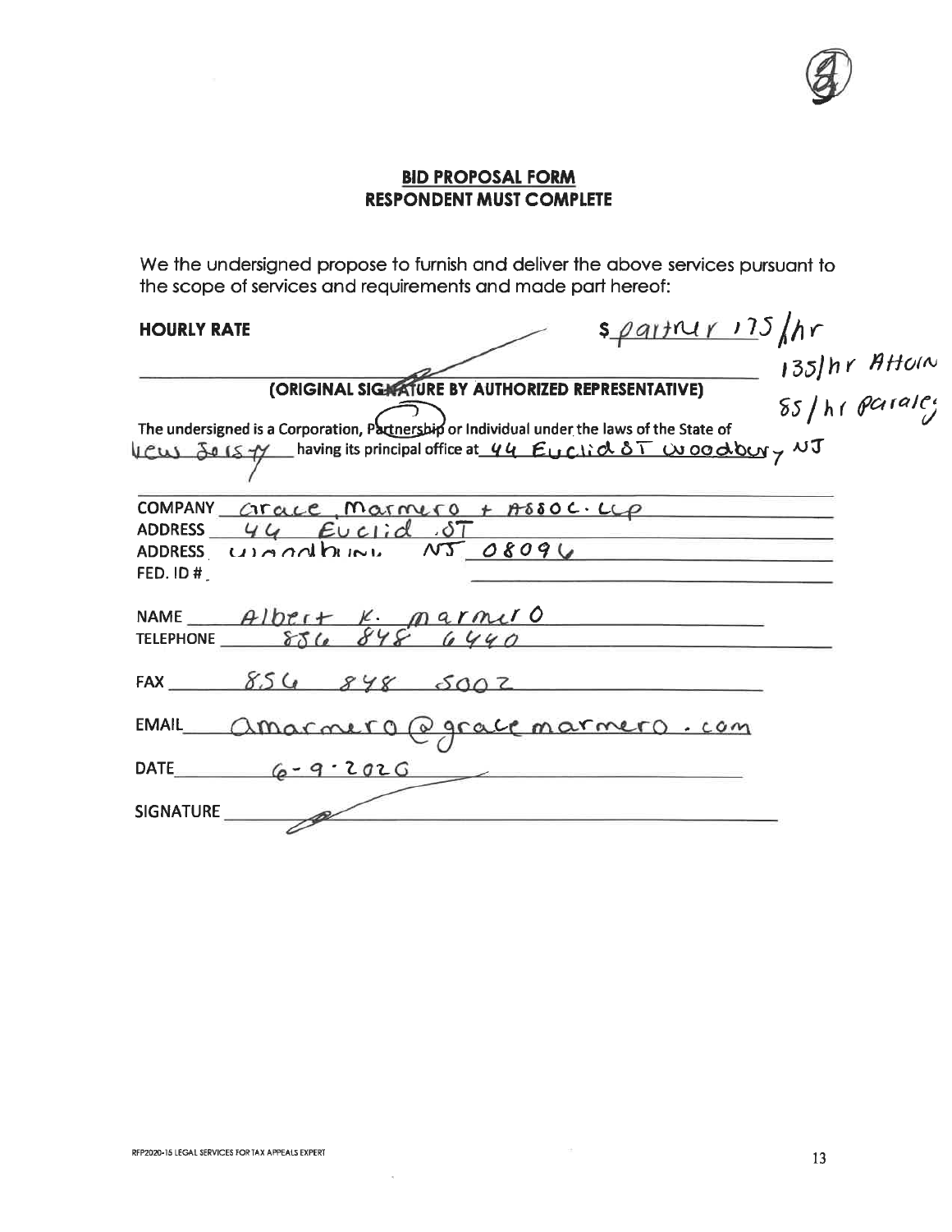## **BID PROPOSAL FORM RESPONDENT MUST COMPLETE**

We the undersigned propose to furnish and deliver the above services pursuant to the scope of services and requirements and made part hereof:

## **HOURLY RATE**

| <b>HOURLY RATE</b>                                                                                                                                                                                                                                                                                                                                                                      | $s$ partner 175 /hr              |
|-----------------------------------------------------------------------------------------------------------------------------------------------------------------------------------------------------------------------------------------------------------------------------------------------------------------------------------------------------------------------------------------|----------------------------------|
| (ORIGINAL SIGNATURE BY AUTHORIZED REPRESENTATIVE)<br>The undersigned is a Corporation, Partnership or Individual under the laws of the State of<br>VCW Jo 15 7 having its principal office at 44 Euclid 8T woodbury NJ                                                                                                                                                                  | 135) hr Attom<br>85 / hr paraley |
| <b>COMPANY</b><br>$CracC$ , Marmero + Assoc. $L\varphi$<br>$44$ Euclid ST<br><b>ADDRESS</b><br>unnalleine NJ 08096<br><b>ADDRESS</b><br>FED. ID#                                                                                                                                                                                                                                        |                                  |
| NAME $\frac{A1bt_1 + K}{f(1 + b)} = \frac{A1bt_1 + K}{f(1 + b)} = \frac{A1bt_1 + B1}{f(1 + b)} = \frac{A1bt_1 + B1}{f(1 + b)} = \frac{A1bt_1 + B1}{f(1 + b)} = \frac{A1bt_1 + B1}{f(1 + b)} = \frac{A1bt_1 + B1}{f(1 + b)} = \frac{A1bt_1 + B1}{f(1 + b)} = \frac{A1bt_1 + B1}{f(1 + b)} = \frac{A1bt_1 + B1}{f(1 + b)} = \frac{A1bt_1 + B1}{f(1 + b)} = \frac{A1bt_1$<br>TELEPHONE 856 |                                  |
| FAX $8548502$                                                                                                                                                                                                                                                                                                                                                                           |                                  |
| Amarmero @ grace marmero.com<br><b>EMAIL</b>                                                                                                                                                                                                                                                                                                                                            |                                  |
| $6 - 9.202G$<br><b>DATE</b>                                                                                                                                                                                                                                                                                                                                                             |                                  |
| <b>SIGNATURE</b>                                                                                                                                                                                                                                                                                                                                                                        |                                  |

 $\mathcal{O}$ 

 $\sim$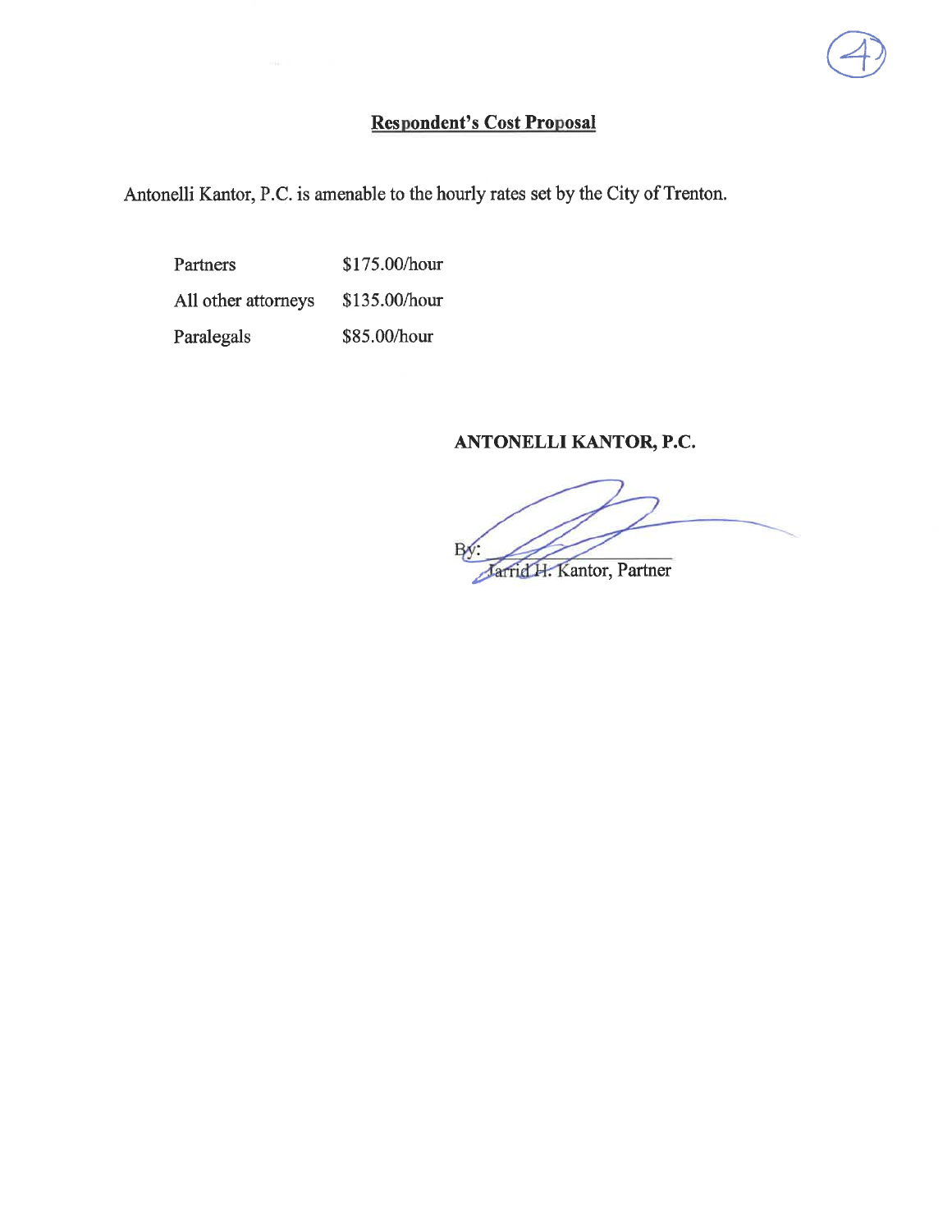## **Respondent's Cost Proposal**

Antonelli Kantor, P.C. is amenable to the hourly rates set by the City of Trenton.

\$175.00/hour Partners All other attorneys \$135.00/hour Paralegals \$85.00/hour

## ANTONELLI KANTOR, P.C.

Jarrid H. Kantor, Partner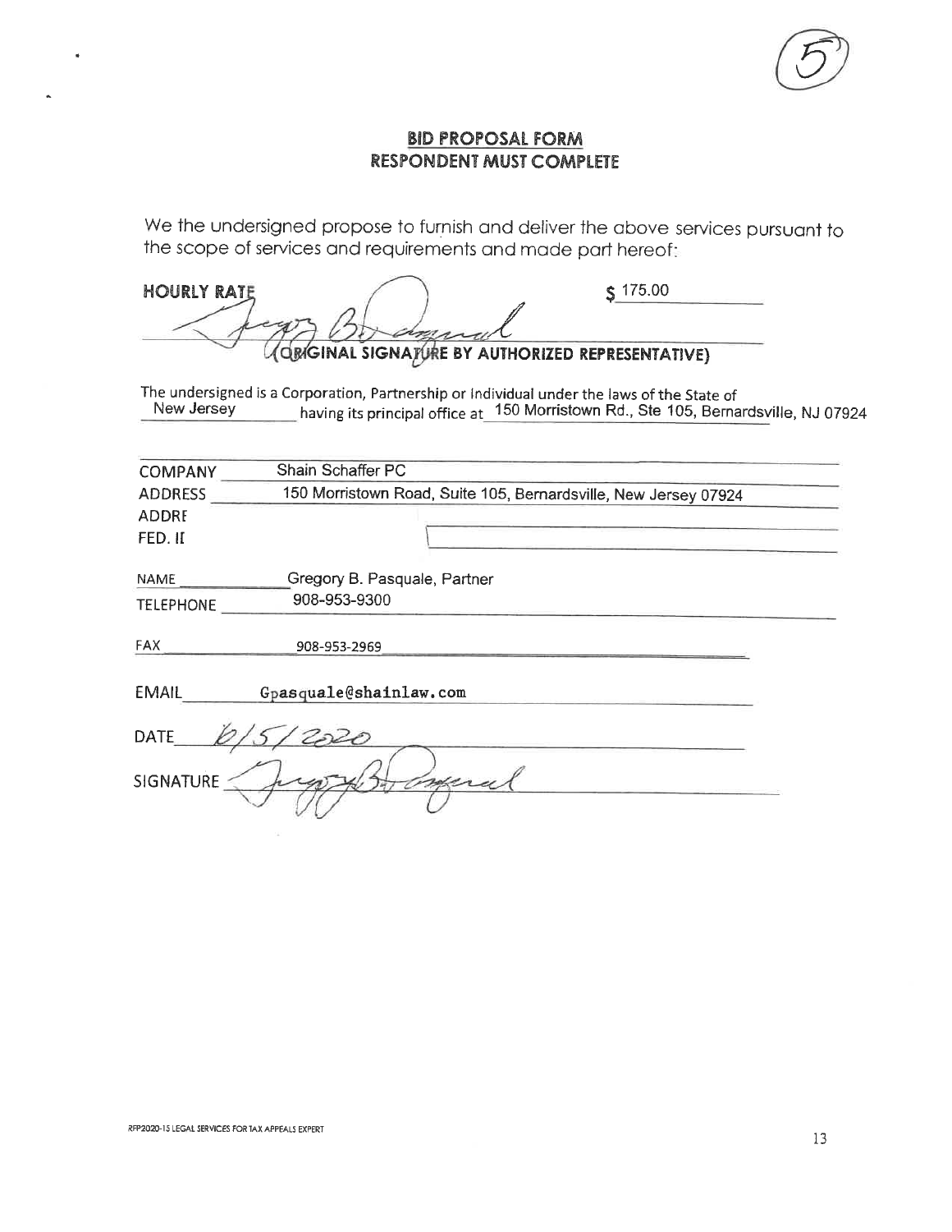## **BID PROPOSAL FORM RESPONDENT MUST COMPLETE**

We the undersigned propose to furnish and deliver the above services pursuant to the scope of services and requirements and made part hereof:

| <b>HOURLY RATE</b> | $\epsilon$ 175.00                                |  |
|--------------------|--------------------------------------------------|--|
|                    |                                                  |  |
|                    | AQMGINAL SIGNATURE BY AUTHORIZED REPRESENTATIVE) |  |

The undersigned is a Corporation, Partnership or Individual under the laws of the State of<br>New Jersey having its principal office at 150 Morristown Rd., Ste 105, Bernardsville, NJ 07924

| <b>COMPANY</b>   | Shain Schaffer PC                                               |  |  |  |  |
|------------------|-----------------------------------------------------------------|--|--|--|--|
| <b>ADDRESS</b>   | 150 Morristown Road, Suite 105, Bernardsville, New Jersey 07924 |  |  |  |  |
| <b>ADDRE</b>     |                                                                 |  |  |  |  |
| FED. II          |                                                                 |  |  |  |  |
| NAME             | Gregory B. Pasquale, Partner                                    |  |  |  |  |
| <b>TELEPHONE</b> | 908-953-9300                                                    |  |  |  |  |
| <b>FAX</b>       | 908-953-2969                                                    |  |  |  |  |
| <b>EMAIL</b>     | Gpasquale@shainlaw.com                                          |  |  |  |  |
| <b>DATE</b>      |                                                                 |  |  |  |  |
| <b>SIGNATURE</b> |                                                                 |  |  |  |  |
|                  |                                                                 |  |  |  |  |